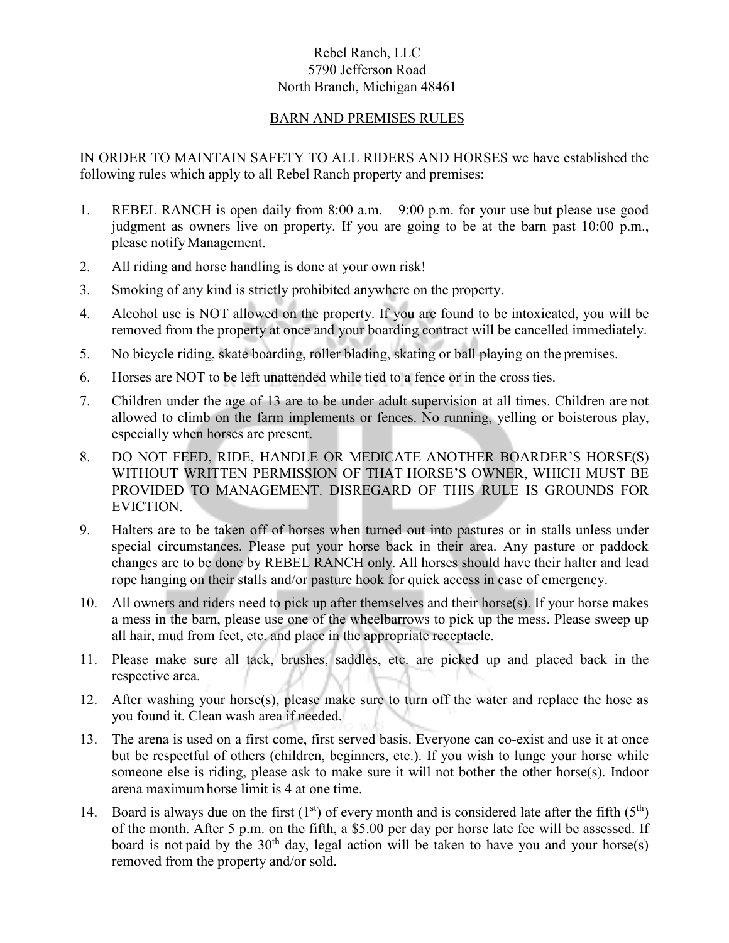## Rebel Ranch, LLC 5790 Jefferson Road North Branch, Michigan 48461

## BARN AND PREMISES RULES

IN ORDER TO MAINTAIN SAFETY TO ALL RIDERS AND HORSES we have established the following rules which apply to all Rebel Ranch property and premises:

- 1. REBEL RANCH is open daily from 8:00 a.m. 9:00 p.m. for your use but please use good judgment as owners live on property. If you are going to be at the barn past 10:00 p.m., please notifyManagement.
- 2. All riding and horse handling is done at your own risk!
- 3. Smoking of any kind is strictly prohibited anywhere on the property.
- 4. Alcohol use is NOT allowed on the property. If you are found to be intoxicated, you will be removed from the property at once and your boarding contract will be cancelled immediately.
- 5. No bicycle riding, skate boarding, roller blading, skating or ball playing on the premises.
- 6. Horses are NOT to be left unattended while tied to a fence or in the cross ties.
- 7. Children under the age of 13 are to be under adult supervision at all times. Children are not allowed to climb on the farm implements or fences. No running, yelling or boisterous play, especially when horses are present.
- 8. DO NOT FEED, RIDE, HANDLE OR MEDICATE ANOTHER BOARDER'S HORSE(S) WITHOUT WRITTEN PERMISSION OF THAT HORSE'S OWNER, WHICH MUST BE PROVIDED TO MANAGEMENT. DISREGARD OF THIS RULE IS GROUNDS FOR EVICTION.
- 9. Halters are to be taken off of horses when turned out into pastures or in stalls unless under special circumstances. Please put your horse back in their area. Any pasture or paddock changes are to be done by REBEL RANCH only. All horses should have their halter and lead rope hanging on their stalls and/or pasture hook for quick access in case of emergency.
- 10. All owners and riders need to pick up after themselves and their horse(s). If your horse makes a mess in the barn, please use one of the wheelbarrows to pick up the mess. Please sweep up all hair, mud from feet, etc. and place in the appropriate receptacle.
- 11. Please make sure all tack, brushes, saddles, etc. are picked up and placed back in the respective area.
- 12. After washing your horse(s), please make sure to turn off the water and replace the hose as you found it. Clean wash area if needed.
- 13. The arena is used on a first come, first served basis. Everyone can co-exist and use it at once but be respectful of others (children, beginners, etc.). If you wish to lunge your horse while someone else is riding, please ask to make sure it will not bother the other horse(s). Indoor arena maximumhorse limit is 4 at one time.
- 14. Board is always due on the first  $(1<sup>st</sup>)$  of every month and is considered late after the fifth  $(5<sup>th</sup>)$ of the month. After 5 p.m. on the fifth, a \$5.00 per day per horse late fee will be assessed. If board is not paid by the  $30<sup>th</sup>$  day, legal action will be taken to have you and your horse(s) removed from the property and/or sold.